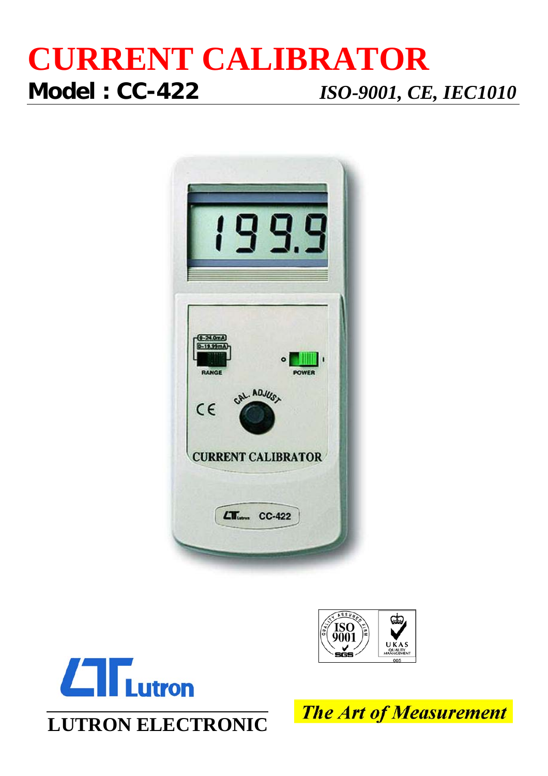## **CURRENT CALIBRATOR Model : CC-422** *ISO-9001, CE, IEC1010*







**LUTRON ELECTRONIC**

**The Art of Measurement**